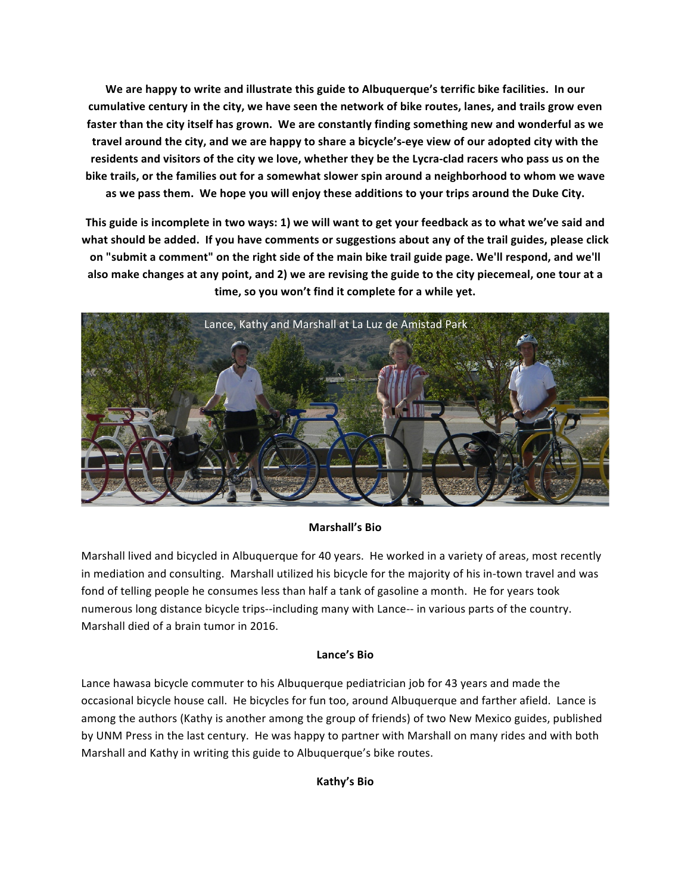We are happy to write and illustrate this guide to Albuquerque's terrific bike facilities. In our cumulative century in the city, we have seen the network of bike routes, lanes, and trails grow even faster than the city itself has grown. We are constantly finding something new and wonderful as we travel around the city, and we are happy to share a bicycle's-eye view of our adopted city with the residents and visitors of the city we love, whether they be the Lycra-clad racers who pass us on the bike trails, or the families out for a somewhat slower spin around a neighborhood to whom we wave as we pass them. We hope you will enjoy these additions to your trips around the Duke City.

This guide is incomplete in two ways: 1) we will want to get your feedback as to what we've said and what should be added. If you have comments or suggestions about any of the trail guides, please click on "submit a comment" on the right side of the main bike trail guide page. We'll respond, and we'll also make changes at any point, and 2) we are revising the guide to the city piecemeal, one tour at a time, so you won't find it complete for a while yet.



## **Marshall's Bio**

Marshall lived and bicycled in Albuquerque for 40 years. He worked in a variety of areas, most recently in mediation and consulting. Marshall utilized his bicycle for the majority of his in-town travel and was fond of telling people he consumes less than half a tank of gasoline a month. He for years took numerous long distance bicycle trips--including many with Lance-- in various parts of the country. Marshall died of a brain tumor in 2016.

## **Lance's Bio**

Lance hawasa bicycle commuter to his Albuquerque pediatrician job for 43 years and made the occasional bicycle house call. He bicycles for fun too, around Albuquerque and farther afield. Lance is among the authors (Kathy is another among the group of friends) of two New Mexico guides, published by UNM Press in the last century. He was happy to partner with Marshall on many rides and with both Marshall and Kathy in writing this guide to Albuquerque's bike routes.